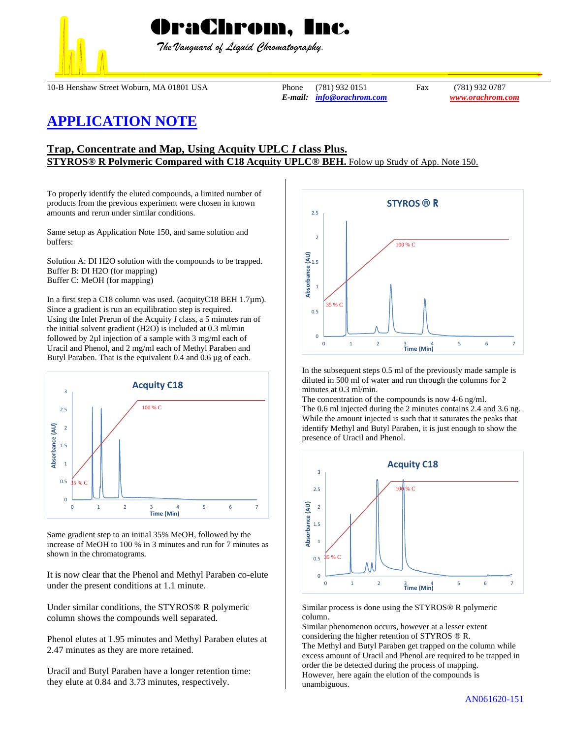

 *The Vanguard of Liquid Chromatography.*

10-B Henshaw Street Woburn, MA 01801 USA Phone (781) 932 0151 Fax (781) 932 0787

*E-mail: [info@orachrom.com](mailto:info@orachrom.com) www.orachrom.com*

## **APPLICATION NOTE**

## **Trap, Concentrate and Map, Using Acquity UPLC** *I* **class Plus. STYROS® R Polymeric Compared with C18 Acquity UPLC® BEH.** Folow up Study of App. Note 150.

To properly identify the eluted compounds, a limited number of products from the previous experiment were chosen in known amounts and rerun under similar conditions.

Same setup as Application Note 150, and same solution and buffers:

Solution A: DI H2O solution with the compounds to be trapped. Buffer B: DI H2O (for mapping) Buffer C: MeOH (for mapping)

In a first step a C18 column was used. (acquityC18 BEH 1.7µm). Since a gradient is run an equilibration step is required. Using the Inlet Prerun of the Acquity *I* class, a 5 minutes run of the initial solvent gradient (H2O) is included at 0.3 ml/min followed by 2µl injection of a sample with 3 mg/ml each of Uracil and Phenol, and 2 mg/ml each of Methyl Paraben and Butyl Paraben. That is the equivalent 0.4 and 0.6 µg of each.



Same gradient step to an initial 35% MeOH, followed by the increase of MeOH to 100 % in 3 minutes and run for 7 minutes as shown in the chromatograms.

It is now clear that the Phenol and Methyl Paraben co-elute under the present conditions at 1.1 minute.

Under similar conditions, the STYROS® R polymeric column shows the compounds well separated.

Phenol elutes at 1.95 minutes and Methyl Paraben elutes at 2.47 minutes as they are more retained.

Uracil and Butyl Paraben have a longer retention time: they elute at 0.84 and 3.73 minutes, respectively.



In the subsequent steps 0.5 ml of the previously made sample is diluted in 500 ml of water and run through the columns for 2 minutes at 0.3 ml/min.

The concentration of the compounds is now 4-6 ng/ml. The 0.6 ml injected during the 2 minutes contains 2.4 and 3.6 ng. While the amount injected is such that it saturates the peaks that identify Methyl and Butyl Paraben, it is just enough to show the presence of Uracil and Phenol.





Similar phenomenon occurs, however at a lesser extent considering the higher retention of STYROS ® R. The Methyl and Butyl Paraben get trapped on the column while excess amount of Uracil and Phenol are required to be trapped in order the be detected during the process of mapping. However, here again the elution of the compounds is unambiguous.